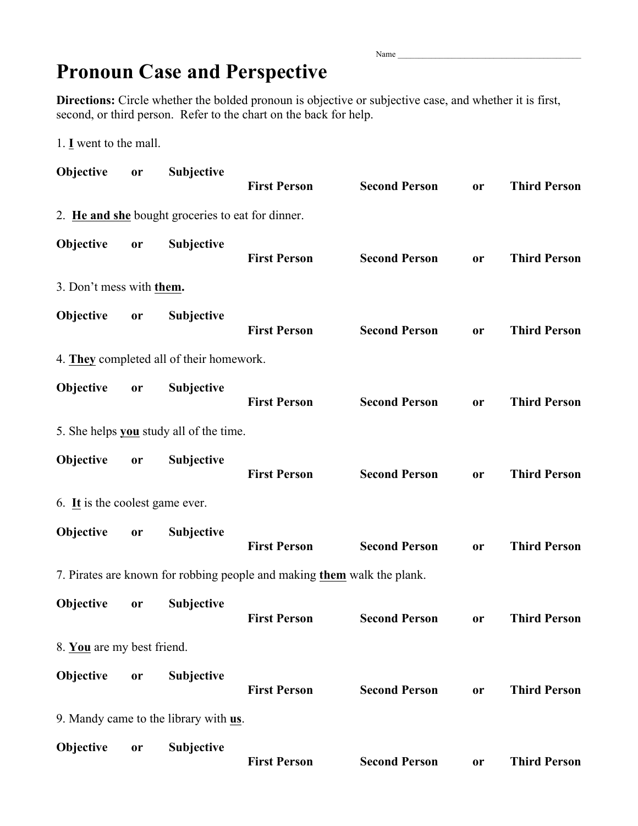Name

## **Pronoun Case and Perspective**

**Directions:** Circle whether the bolded pronoun is objective or subjective case, and whether it is first, second, or third person. Refer to the chart on the back for help.

1. **I** went to the mall.

| Objective                       | or        | Subjective                                        | <b>First Person</b>                                                     | <b>Second Person</b> | <b>or</b> | <b>Third Person</b> |
|---------------------------------|-----------|---------------------------------------------------|-------------------------------------------------------------------------|----------------------|-----------|---------------------|
|                                 |           | 2. He and she bought groceries to eat for dinner. |                                                                         |                      |           |                     |
| Objective                       | or        | Subjective                                        | <b>First Person</b>                                                     | <b>Second Person</b> | <b>or</b> | <b>Third Person</b> |
| 3. Don't mess with them.        |           |                                                   |                                                                         |                      |           |                     |
| Objective                       | or        | <b>Subjective</b>                                 | <b>First Person</b>                                                     | <b>Second Person</b> | <b>or</b> | <b>Third Person</b> |
|                                 |           | 4. They completed all of their homework.          |                                                                         |                      |           |                     |
| Objective                       | or        | Subjective                                        | <b>First Person</b>                                                     | <b>Second Person</b> | <b>or</b> | <b>Third Person</b> |
|                                 |           | 5. She helps you study all of the time.           |                                                                         |                      |           |                     |
| Objective                       | or        | Subjective                                        | <b>First Person</b>                                                     | <b>Second Person</b> | <b>or</b> | <b>Third Person</b> |
| 6. It is the coolest game ever. |           |                                                   |                                                                         |                      |           |                     |
| Objective                       | or        | Subjective                                        | <b>First Person</b>                                                     | <b>Second Person</b> | <b>or</b> | <b>Third Person</b> |
|                                 |           |                                                   | 7. Pirates are known for robbing people and making them walk the plank. |                      |           |                     |
| Objective                       | or        | Subjective                                        | <b>First Person</b>                                                     | <b>Second Person</b> | <b>or</b> | <b>Third Person</b> |
| 8. You are my best friend.      |           |                                                   |                                                                         |                      |           |                     |
| Objective                       | or        | Subjective                                        | <b>First Person</b>                                                     | <b>Second Person</b> | <b>or</b> | <b>Third Person</b> |
|                                 |           | 9. Mandy came to the library with us.             |                                                                         |                      |           |                     |
| Objective                       | <b>or</b> | Subjective                                        | <b>First Person</b>                                                     | <b>Second Person</b> | <b>or</b> | <b>Third Person</b> |